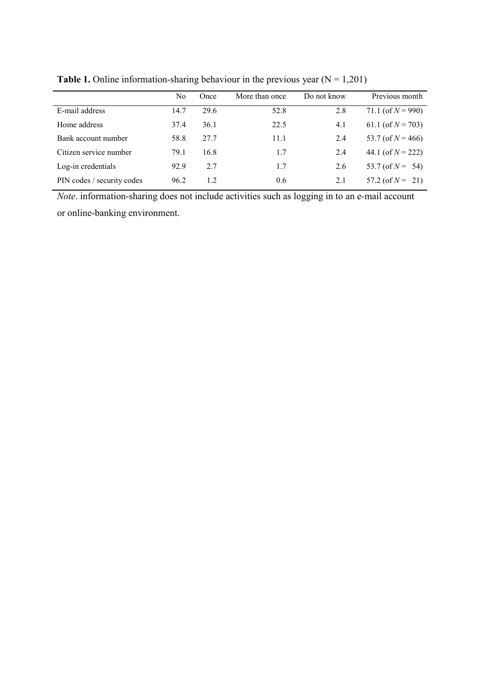|                            | No   | Once | More than once | Do not know | Previous month        |
|----------------------------|------|------|----------------|-------------|-----------------------|
| E-mail address             | 14.7 | 29.6 | 52.8           | 2.8         | 71.1 (of $N = 990$ )  |
| Home address               | 37.4 | 36.1 | 22.5           | 4.1         | 61.1 (of $N = 703$ )  |
| Bank account number        | 58.8 | 27.7 | 11.1           | 2.4         | 53.7 (of $N = 466$ )  |
| Citizen service number     | 79.1 | 16.8 | 1.7            | 2.4         | 44.1 (of $N = 222$ )  |
| Log-in credentials         | 92.9 | 2.7  | 1.7            | 2.6         | 53.7 (of $N = 54$ )   |
| PIN codes / security codes | 96.2 | 1.2  | 0.6            | 2.1         | $57.2$ (of $N = 21$ ) |

**Table 1.** Online information-sharing behaviour in the previous year  $(N = 1,201)$ 

*Note*. information-sharing does not include activities such as logging in to an e-mail account or online-banking environment.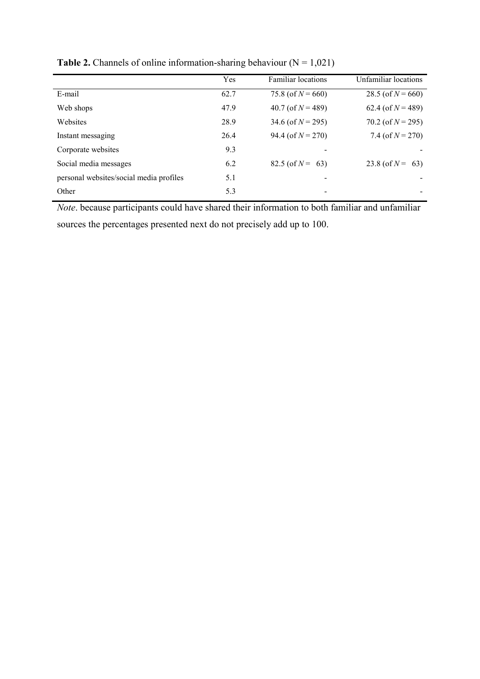|                                         | Yes  | <b>Familiar</b> locations | Unfamiliar locations |
|-----------------------------------------|------|---------------------------|----------------------|
| E-mail                                  | 62.7 | 75.8 (of $N = 660$ )      | 28.5 (of $N = 660$ ) |
| Web shops                               | 47.9 | 40.7 (of $N = 489$ )      | 62.4 (of $N = 489$ ) |
| Websites                                | 28.9 | 34.6 (of $N = 295$ )      | 70.2 (of $N = 295$ ) |
| Instant messaging                       | 26.4 | 94.4 (of $N = 270$ )      | 7.4 (of $N = 270$ )  |
| Corporate websites                      | 9.3  |                           |                      |
| Social media messages                   | 6.2  | $82.5$ (of $N = 63$ )     | 23.8 (of $N = 63$ )  |
| personal websites/social media profiles | 5.1  |                           |                      |
| Other                                   | 5.3  |                           |                      |
|                                         |      |                           |                      |

**Table 2.** Channels of online information-sharing behaviour  $(N = 1,021)$ 

*Note*. because participants could have shared their information to both familiar and unfamiliar sources the percentages presented next do not precisely add up to 100.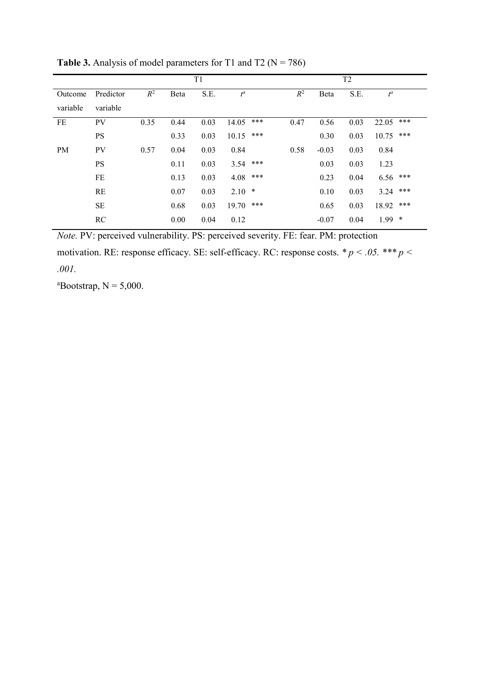|           |           |       |      | T <sub>2</sub> |         |     |       |         |      |           |     |
|-----------|-----------|-------|------|----------------|---------|-----|-------|---------|------|-----------|-----|
| Outcome   | Predictor | $R^2$ | Beta | S.E.           | $t^a$   |     | $R^2$ | Beta    | S.E. | $t^a$     |     |
| variable  | variable  |       |      |                |         |     |       |         |      |           |     |
| FE        | <b>PV</b> | 0.35  | 0.44 | 0.03           | 14.05   | *** | 0.47  | 0.56    | 0.03 | 22.05     | *** |
|           | <b>PS</b> |       | 0.33 | 0.03           | 10.15   | *** |       | 0.30    | 0.03 | 10.75     | *** |
| <b>PM</b> | <b>PV</b> | 0.57  | 0.04 | 0.03           | 0.84    |     | 0.58  | $-0.03$ | 0.03 | 0.84      |     |
|           | <b>PS</b> |       | 0.11 | 0.03           | 3.54    | *** |       | 0.03    | 0.03 | 1.23      |     |
|           | $\rm FE$  |       | 0.13 | 0.03           | 4.08    | *** |       | 0.23    | 0.04 | 6.56      | *** |
|           | <b>RE</b> |       | 0.07 | 0.03           | $2.10*$ |     |       | 0.10    | 0.03 | 3.24      | *** |
|           | <b>SE</b> |       | 0.68 | 0.03           | 19.70   | *** |       | 0.65    | 0.03 | 18.92 *** |     |
|           | RC        |       | 0.00 | 0.04           | 0.12    |     |       | $-0.07$ | 0.04 | $1.99$ *  |     |

**Table 3.** Analysis of model parameters for T1 and T2 ( $N = 786$ )

*Note.* PV: perceived vulnerability. PS: perceived severity. FE: fear. PM: protection motivation. RE: response efficacy. SE: self-efficacy. RC: response costs. *\* p < .05. \*\*\* p < .001.*

<sup>a</sup>Bootstrap,  $N = 5,000$ .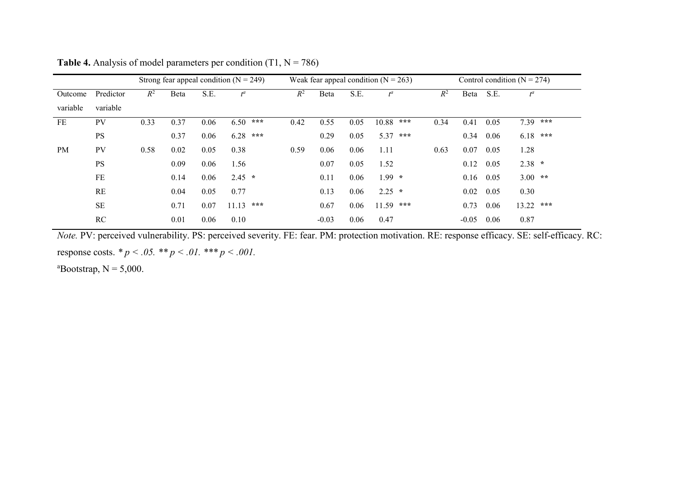|          |           |       |      |      | Strong fear appeal condition ( $N = 249$ ) |       |         |      | Weak fear appeal condition $(N = 263)$ |       |         |      | Control condition ( $N = 274$ ) |  |
|----------|-----------|-------|------|------|--------------------------------------------|-------|---------|------|----------------------------------------|-------|---------|------|---------------------------------|--|
| Outcome  | Predictor | $R^2$ | Beta | S.E. | $t^a$                                      | $R^2$ | Beta    | S.E. | $t^a$                                  | $R^2$ | Beta    | S.E. | $t^a$                           |  |
| variable | variable  |       |      |      |                                            |       |         |      |                                        |       |         |      |                                 |  |
| FE       | <b>PV</b> | 0.33  | 0.37 | 0.06 | 6.50<br>$\star\star\star$                  | 0.42  | 0.55    | 0.05 | $10.88$ ***                            | 0.34  | 0.41    | 0.05 | $7.39$ ***                      |  |
|          | <b>PS</b> |       | 0.37 | 0.06 | $6.28$ ***                                 |       | 0.29    | 0.05 | 5.37 ***                               |       | 0.34    | 0.06 | $6.18$ ***                      |  |
| PM       | <b>PV</b> | 0.58  | 0.02 | 0.05 | 0.38                                       | 0.59  | 0.06    | 0.06 | 1.11                                   | 0.63  | 0.07    | 0.05 | 1.28                            |  |
|          | <b>PS</b> |       | 0.09 | 0.06 | 1.56                                       |       | 0.07    | 0.05 | 1.52                                   |       | 0.12    | 0.05 | $2.38 *$                        |  |
|          | FE        |       | 0.14 | 0.06 | $2.45 *$                                   |       | 0.11    | 0.06 | $1.99 *$                               |       | 0.16    | 0.05 | $3.00$ **                       |  |
|          | RE        |       | 0.04 | 0.05 | 0.77                                       |       | 0.13    | 0.06 | $2.25$ *                               |       | 0.02    | 0.05 | 0.30                            |  |
|          | $\rm SE$  |       | 0.71 | 0.07 | 11.13<br>***                               |       | 0.67    | 0.06 | $11.59$ ***                            |       | 0.73    | 0.06 | $13.22$ ***                     |  |
|          | RC        |       | 0.01 | 0.06 | 0.10                                       |       | $-0.03$ | 0.06 | 0.47                                   |       | $-0.05$ | 0.06 | 0.87                            |  |

**Table 4.** Analysis of model parameters per condition  $(T1, N = 786)$ 

*Note.* PV: perceived vulnerability. PS: perceived severity. FE: fear. PM: protection motivation. RE: response efficacy. SE: self-efficacy. RC: response costs.  $* p < .05.$   $* p < .01.$   $* * p < .001.$ 

<sup>a</sup>Bootstrap,  $N = 5,000$ .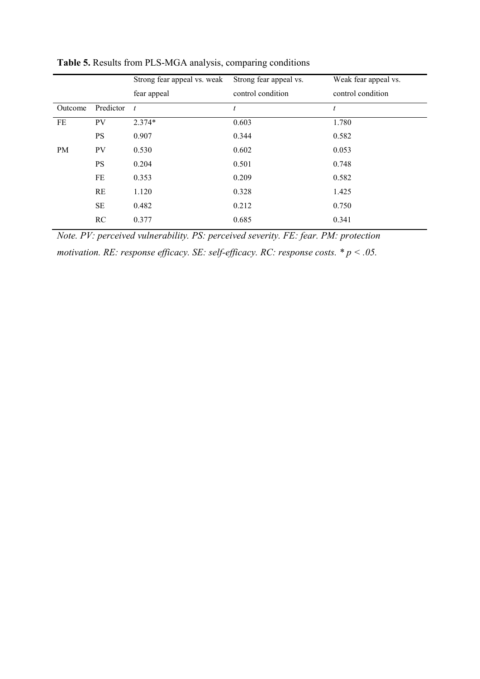|           |               | Strong fear appeal vs. weak | Strong fear appeal vs. | Weak fear appeal vs. |
|-----------|---------------|-----------------------------|------------------------|----------------------|
|           |               | fear appeal                 | control condition      | control condition    |
| Outcome   | Predictor $t$ |                             | t                      | t                    |
| FE        | PV            | $2.374*$                    | 0.603                  | 1.780                |
|           | <b>PS</b>     | 0.907                       | 0.344                  | 0.582                |
| <b>PM</b> | PV            | 0.530                       | 0.602                  | 0.053                |
|           | <b>PS</b>     | 0.204                       | 0.501                  | 0.748                |
|           | FE            | 0.353                       | 0.209                  | 0.582                |
|           | RE            | 1.120                       | 0.328                  | 1.425                |
|           | <b>SE</b>     | 0.482                       | 0.212                  | 0.750                |
|           | RC            | 0.377                       | 0.685                  | 0.341                |
|           |               |                             |                        |                      |

**Table 5.** Results from PLS-MGA analysis, comparing conditions

*Note. PV: perceived vulnerability. PS: perceived severity. FE: fear. PM: protection motivation. RE: response efficacy. SE: self-efficacy. RC: response costs. \* p < .05.*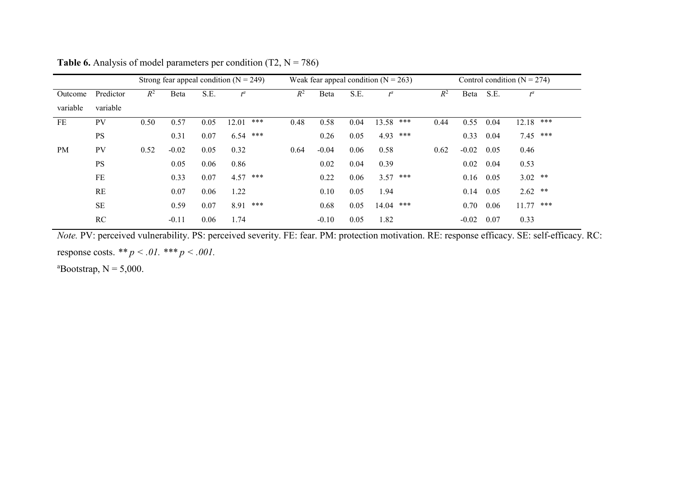|          |           |       |         |      | Strong fear appeal condition ( $N = 249$ ) |       |         |      | Weak fear appeal condition $(N = 263)$ |       |         |      | Control condition ( $N = 274$ ) |     |
|----------|-----------|-------|---------|------|--------------------------------------------|-------|---------|------|----------------------------------------|-------|---------|------|---------------------------------|-----|
| Outcome  | Predictor | $R^2$ | Beta    | S.E. | $t^a$                                      | $R^2$ | Beta    | S.E. | $t^a$                                  | $R^2$ | Beta    | S.E. | $t^a$                           |     |
| variable | variable  |       |         |      |                                            |       |         |      |                                        |       |         |      |                                 |     |
| FE       | <b>PV</b> | 0.50  | 0.57    | 0.05 | ***<br>12.01                               | 0.48  | 0.58    | 0.04 | 13.58 ***                              | 0.44  | 0.55    | 0.04 | 12.18                           | *** |
|          | <b>PS</b> |       | 0.31    | 0.07 | 6.54<br>***                                |       | 0.26    | 0.05 | 4.93 ***                               |       | 0.33    | 0.04 | 7.45 ***                        |     |
| PM       | <b>PV</b> | 0.52  | $-0.02$ | 0.05 | 0.32                                       | 0.64  | $-0.04$ | 0.06 | 0.58                                   | 0.62  | $-0.02$ | 0.05 | 0.46                            |     |
|          | <b>PS</b> |       | 0.05    | 0.06 | 0.86                                       |       | 0.02    | 0.04 | 0.39                                   |       | 0.02    | 0.04 | 0.53                            |     |
|          | FE        |       | 0.33    | 0.07 | $4.57$ ***                                 |       | 0.22    | 0.06 | $3.57$ ***                             |       | 0.16    | 0.05 | $3.02$ **                       |     |
|          | RE        |       | 0.07    | 0.06 | 1.22                                       |       | 0.10    | 0.05 | 1.94                                   |       | 0.14    | 0.05 | $2.62$ **                       |     |
|          | <b>SE</b> |       | 0.59    | 0.07 | 8.91 ***                                   |       | 0.68    | 0.05 | 14.04 ***                              |       | 0.70    | 0.06 | $11.77$ ***                     |     |
|          | RC        |       | $-0.11$ | 0.06 | 1.74                                       |       | $-0.10$ | 0.05 | 1.82                                   |       | $-0.02$ | 0.07 | 0.33                            |     |

**Table 6.** Analysis of model parameters per condition  $(T2, N = 786)$ 

*Note.* PV: perceived vulnerability. PS: perceived severity. FE: fear. PM: protection motivation. RE: response efficacy. SE: self-efficacy. RC: response costs. *\*\* p < .01. \*\*\* p < .001.*

<sup>a</sup>Bootstrap,  $N = 5,000$ .